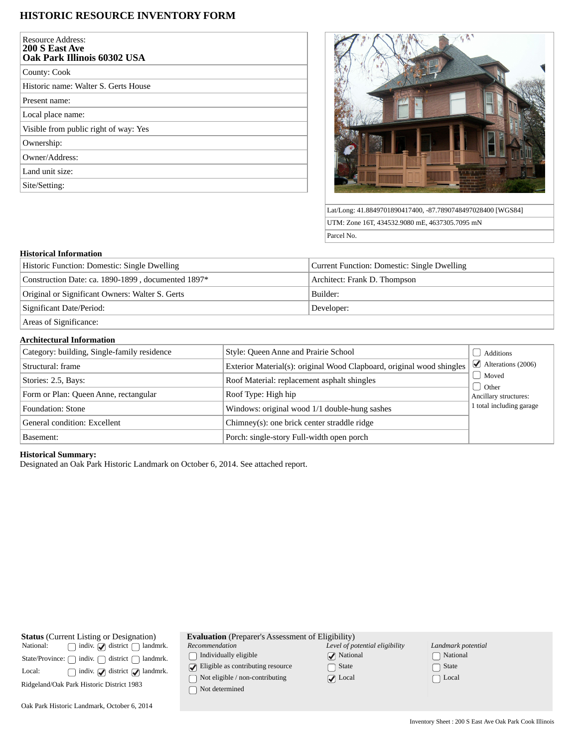## **HISTORIC RESOURCE INVENTORY FORM**

| Resource Address:<br>200 S East Ave<br>Oak Park Illinois 60302 USA |
|--------------------------------------------------------------------|
| County: Cook                                                       |
| Historic name: Walter S. Gerts House                               |
| Present name:                                                      |
| Local place name:                                                  |
| Visible from public right of way: Yes                              |
| Ownership:                                                         |
| Owner/Address:                                                     |
| Land unit size:                                                    |
| Site/Setting:                                                      |



Lat/Long: 41.8849701890417400, -87.7890748497028400 [WGS84] UTM: Zone 16T, 434532.9080 mE, 4637305.7095 mN Parcel No.

#### **Historical Information**

| Historic Function: Domestic: Single Dwelling       | Current Function: Domestic: Single Dwelling |  |
|----------------------------------------------------|---------------------------------------------|--|
| Construction Date: ca. 1890-1899, documented 1897* | Architect: Frank D. Thompson                |  |
| Original or Significant Owners: Walter S. Gerts    | Builder:                                    |  |
| Significant Date/Period:                           | Developer:                                  |  |
| Areas of Significance:                             |                                             |  |

# **Architectural Information**

| Category: building, Single-family residence | Style: Queen Anne and Prairie School                                  | Additions                                |
|---------------------------------------------|-----------------------------------------------------------------------|------------------------------------------|
| Structural: frame                           | Exterior Material(s): original Wood Clapboard, original wood shingles | $\blacktriangleright$ Alterations (2006) |
| Stories: 2.5, Bays:                         | Roof Material: replacement asphalt shingles                           | Moved                                    |
| Form or Plan: Queen Anne, rectangular       | Roof Type: High hip                                                   | d Other<br>Ancillary structures:         |
| Foundation: Stone                           | Windows: original wood 1/1 double-hung sashes                         | 1 total including garage                 |
| General condition: Excellent                | Chimney(s): one brick center straddle ridge                           |                                          |
| Basement:                                   | Porch: single-story Full-width open porch                             |                                          |

### **Historical Summary:**

Designated an Oak Park Historic Landmark on October 6, 2014. See attached report.

| <b>Status</b> (Current Listing or Designation)<br>$\Box$ indiv. $\Box$ district $\Box$ landmrk.<br>National: | Е<br>$\overline{R}$ |
|--------------------------------------------------------------------------------------------------------------|---------------------|
| State/Province: $\bigcap$ indiv. $\bigcap$ district $\bigcap$ landmrk.                                       |                     |
| $\Box$ indiv. $\Box$ district $\Box$ landmrk.<br>Local:                                                      |                     |
| Ridgeland/Oak Park Historic District 1983                                                                    |                     |

| <b>Evaluation</b> (Preparer's Assessment of Eligibility) |              |
|----------------------------------------------------------|--------------|
| Recommendation                                           | Level of pot |

*Recommendation*

Individually eligible

Eligible as contributing resource

Not eligible / non-contributing

Not determined

| Level of potential eligibility |
|--------------------------------|
| $\sqrt{\phantom{a}}$ National  |
| $\Box$ State                   |
| $\sqrt{ }$ Local               |

| Landmark potential         |
|----------------------------|
| □ National                 |
| $\lceil \ \rceil$ State    |
| $\lceil \;\; \rceil$ Local |

Oak Park Historic Landmark, October 6, 2014